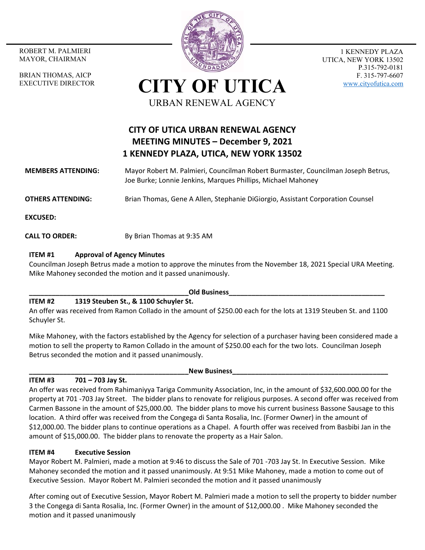MAYOR, CHAIRMAN

BRIAN THOMAS, AICP EXECUTIVE DIRECTOR



1 KENNEDY PLAZA UTICA, NEW YORK 13502 P.315-792-0181 F. 315-797-6607 www.cityofutica.com

**CITY OF UTICA** URBAN RENEWAL AGENCY

# **CITY OF UTICA URBAN RENEWAL AGENCY MEETING MINUTES – December 9, 2021 1 KENNEDY PLAZA, UTICA, NEW YORK 13502**

**MEMBERS ATTENDING:**  Mayor Robert M. Palmieri, Councilman Robert Burmaster, Councilman Joseph Betrus, Joe Burke; Lonnie Jenkins, Marques Phillips, Michael Mahoney

**OTHERS ATTENDING:** Brian Thomas, Gene A Allen, Stephanie DiGiorgio, Assistant Corporation Counsel

**EXCUSED:** 

**CALL TO ORDER:** By Brian Thomas at 9:35 AM

## **ITEM #1 Approval of Agency Minutes**

Councilman Joseph Betrus made a motion to approve the minutes from the November 18, 2021 Special URA Meeting. Mike Mahoney seconded the motion and it passed unanimously.

#### **\_\_\_\_\_\_\_\_\_\_\_\_\_\_\_\_\_\_\_\_\_\_\_\_\_\_\_\_\_\_\_\_\_\_\_\_\_\_\_\_\_\_Old Business\_\_\_\_\_\_\_\_\_\_\_\_\_\_\_\_\_\_\_\_\_\_\_\_\_\_\_\_\_\_\_\_\_\_\_\_\_\_\_\_\_**

# **ITEM #2 1319 Steuben St., & 1100 Schuyler St.**

An offer was received from Ramon Collado in the amount of \$250.00 each for the lots at 1319 Steuben St. and 1100 Schuyler St.

Mike Mahoney, with the factors established by the Agency for selection of a purchaser having been considered made a motion to sell the property to Ramon Collado in the amount of \$250.00 each for the two lots. Councilman Joseph Betrus seconded the motion and it passed unanimously.

# **ITEM #3 701 – 703 Jay St.**

**New Business** 

An offer was received from Rahimaniyya Tariga Community Association, Inc, in the amount of \$32,600.000.00 for the property at 701 ‐703 Jay Street. The bidder plans to renovate for religious purposes. A second offer was received from Carmen Bassone in the amount of \$25,000.00. The bidder plans to move his current business Bassone Sausage to this location. A third offer was received from the Congega di Santa Rosalia, Inc. (Former Owner) in the amount of \$12,000.00. The bidder plans to continue operations as a Chapel. A fourth offer was received from Basbibi Jan in the amount of \$15,000.00. The bidder plans to renovate the property as a Hair Salon.

# **ITEM #4 Executive Session**

Mayor Robert M. Palmieri, made a motion at 9:46 to discuss the Sale of 701 ‐703 Jay St. In Executive Session. Mike Mahoney seconded the motion and it passed unanimously. At 9:51 Mike Mahoney, made a motion to come out of Executive Session. Mayor Robert M. Palmieri seconded the motion and it passed unanimously

After coming out of Executive Session, Mayor Robert M. Palmieri made a motion to sell the property to bidder number 3 the Congega di Santa Rosalia, Inc. (Former Owner) in the amount of \$12,000.00 . Mike Mahoney seconded the motion and it passed unanimously